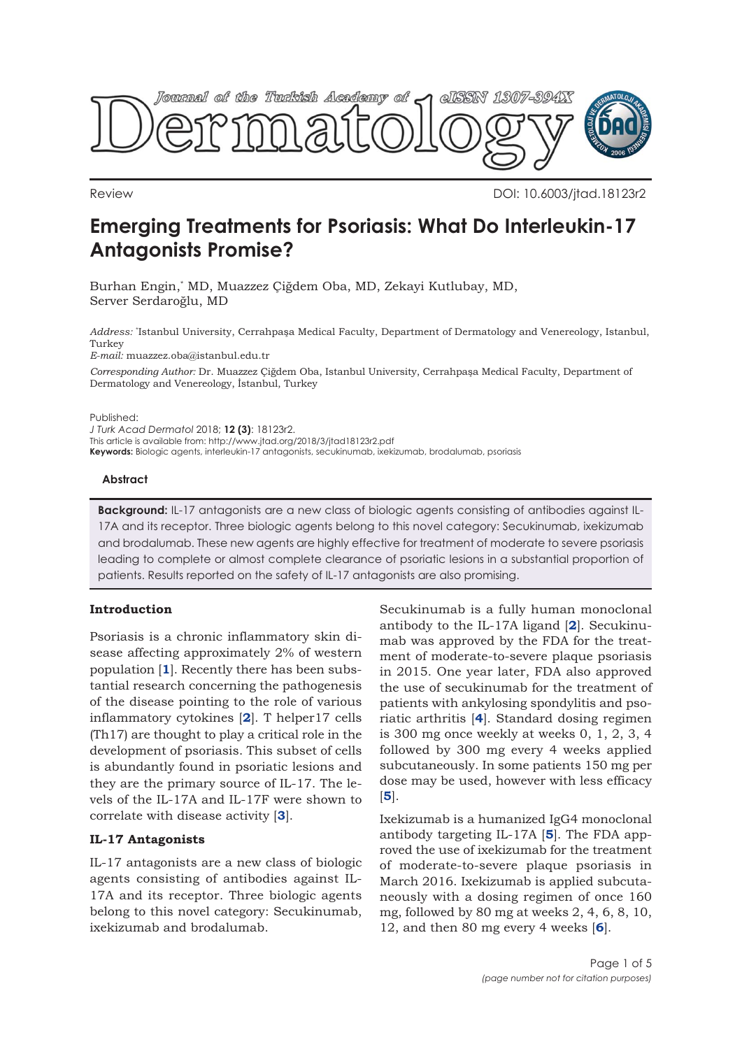

Review DOI: 10.6003/jtad.18123r2

# **Emerging Treatments for Psoriasis: What Do Interleukin-17 Antagonists Promise?**

Burhan Engin,\* MD, Muazzez Çiğdem Oba, MD, Zekayi Kutlubay, MD, Server Serdaroğlu, MD

*Address:* \* Istanbul University, Cerrahpaşa Medical Faculty, Department of Dermatology and Venereology, Istanbul, Turkey

*E-mail:* muazzez.oba@istanbul.edu.tr

*Corresponding Author:* Dr. Muazzez Çiğdem Oba, Istanbul University, Cerrahpaşa Medical Faculty, Department of Dermatology and Venereology, İstanbul, Turkey

Published:

*J Turk Acad Dermatol* 2018; **12 (3)**: 18123r2. This article is available from: http://www.jtad.org/2018/3/jtad18123r2.pdf **Keywords:** Biologic agents, interleukin-17 antagonists, secukinumab, ixekizumab, brodalumab, psoriasis

#### **Abstract**

**Background:** IL-17 antagonists are a new class of biologic agents consisting of antibodies against IL-17A and its receptor. Three biologic agents belong to this novel category: Secukinumab, ixekizumab and brodalumab. These new agents are highly effective for treatment of moderate to severe psoriasis leading to complete or almost complete clearance of psoriatic lesions in a substantial proportion of patients. Results reported on the safety of IL-17 antagonists are also promising.

## **Introduction**

Psoriasis is a chronic inflammatory skin disease affecting approximately 2% of western population [**[1](#page-3-0)**]. Recently there has been substantial research concerning the pathogenesis of the disease pointing to the role of various inflammatory cytokines [**[2](#page-3-0)**]. T helper17 cells (Th17) are thought to play a critical role in the development of psoriasis. This subset of cells is abundantly found in psoriatic lesions and they are the primary source of IL-17. The levels of the IL-17A and IL-17F were shown to correlate with disease activity [**[3](#page-3-0)**].

# **IL-17 Antagonists**

IL-17 antagonists are a new class of biologic agents consisting of antibodies against IL-17A and its receptor. Three biologic agents belong to this novel category: Secukinumab, ixekizumab and brodalumab.

Secukinumab is a fully human monoclonal antibody to the IL-17A ligand [**[2](#page-3-0)**]. Secukinumab was approved by the FDA for the treatment of moderate-to-severe plaque psoriasis in 2015. One year later, FDA also approved the use of secukinumab for the treatment of patients with ankylosing spondylitis and psoriatic arthritis [**[4](#page-3-0)**]. Standard dosing regimen is 300 mg once weekly at weeks 0, 1, 2, 3, 4 followed by 300 mg every 4 weeks applied subcutaneously. In some patients 150 mg per dose may be used, however with less efficacy [**[5](#page-3-0)**].

Ixekizumab is a humanized IgG4 monoclonal antibody targeting IL-17A [**[5](#page-3-0)**]. The FDA approved the use of ixekizumab for the treatment of moderate-to-severe plaque psoriasis in March 2016. Ixekizumab is applied subcutaneously with a dosing regimen of once 160 mg, followed by 80 mg at weeks 2, 4, 6, 8, 10, 12, and then 80 mg every 4 weeks [**[6](#page-3-0)**].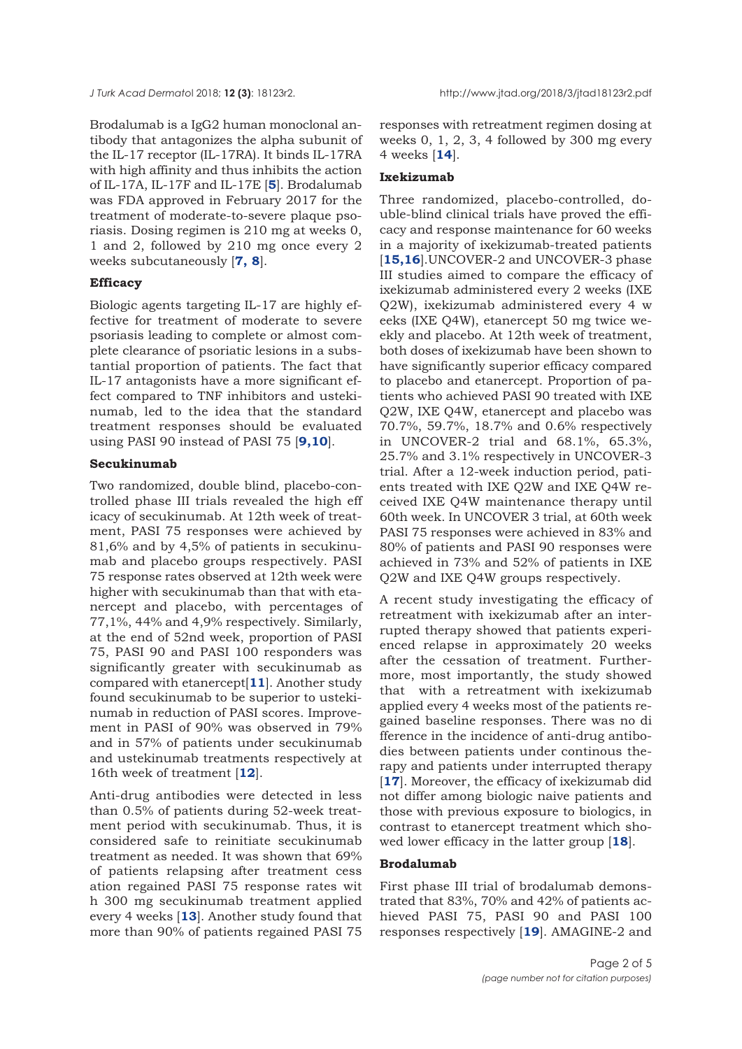Brodalumab is a IgG2 human monoclonal antibody that antagonizes the alpha subunit of the IL-17 receptor (IL-17RA). It binds IL-17RA with high affinity and thus inhibits the action of IL-17A, IL-17F and IL-17E [**[5](#page-3-0)**]. Brodalumab was FDA approved in February 2017 for the treatment of moderate-to-severe plaque psoriasis. Dosing regimen is 210 mg at weeks 0, 1 and 2, followed by 210 mg once every 2 weeks subcutaneously [**[7, 8](#page-3-0)**].

#### **Efficacy**

Biologic agents targeting IL-17 are highly effective for treatment of moderate to severe psoriasis leading to complete or almost complete clearance of psoriatic lesions in a substantial proportion of patients. The fact that IL-17 antagonists have a more significant effect compared to TNF inhibitors and ustekinumab, led to the idea that the standard treatment responses should be evaluated using PASI 90 instead of PASI 75 [**[9,10](#page-3-0)**].

#### **Secukinumab**

Two randomized, double blind, placebo-controlled phase III trials revealed the high eff icacy of secukinumab. At 12th week of treatment, PASI 75 responses were achieved by 81,6% and by 4,5% of patients in secukinumab and placebo groups respectively. PASI 75 response rates observed at 12th week were higher with secukinumab than that with etanercept and placebo, with percentages of 77,1%, 44% and 4,9% respectively. Similarly, at the end of 52nd week, proportion of PASI 75, PASI 90 and PASI 100 responders was significantly greater with secukinumab as compared with etanercept[**[11](#page-3-0)**]. Another study found secukinumab to be superior to ustekinumab in reduction of PASI scores. Improvement in PASI of 90% was observed in 79% and in 57% of patients under secukinumab and ustekinumab treatments respectively at 16th week of treatment [**[12](#page-3-0)**].

Anti-drug antibodies were detected in less than 0.5% of patients during 52-week treatment period with secukinumab. Thus, it is considered safe to reinitiate secukinumab treatment as needed. It was shown that 69% of patients relapsing after treatment cess ation regained PASI 75 response rates wit h 300 mg secukinumab treatment applied every 4 weeks [**[13](#page-3-0)**]. Another study found that more than 90% of patients regained PASI 75 responses with retreatment regimen dosing at weeks 0, 1, 2, 3, 4 followed by 300 mg every 4 weeks [**[14](#page-3-0)**].

#### **Ixekizumab**

Three randomized, placebo-controlled, double-blind clinical trials have proved the efficacy and response maintenance for 60 weeks in a majority of ixekizumab-treated patients [**[15,16](#page-3-0)**].UNCOVER-2 and UNCOVER-3 phase III studies aimed to compare the efficacy of ixekizumab administered every 2 weeks (IXE Q2W), ixekizumab administered every 4 w eeks (IXE Q4W), etanercept 50 mg twice weekly and placebo. At 12th week of treatment, both doses of ixekizumab have been shown to have significantly superior efficacy compared to placebo and etanercept. Proportion of patients who achieved PASI 90 treated with IXE Q2W, IXE Q4W, etanercept and placebo was 70.7%, 59.7%, 18.7% and 0.6% respectively in UNCOVER-2 trial and 68.1%, 65.3%, 25.7% and 3.1% respectively in UNCOVER-3 trial. After a 12-week induction period, patients treated with IXE Q2W and IXE Q4W received IXE Q4W maintenance therapy until 60th week. In UNCOVER 3 trial, at 60th week PASI 75 responses were achieved in 83% and 80% of patients and PASI 90 responses were achieved in 73% and 52% of patients in IXE Q2W and IXE Q4W groups respectively.

A recent study investigating the efficacy of retreatment with ixekizumab after an interrupted therapy showed that patients experienced relapse in approximately 20 weeks after the cessation of treatment. Furthermore, most importantly, the study showed that with a retreatment with ixekizumab applied every 4 weeks most of the patients regained baseline responses. There was no di fference in the incidence of anti-drug antibodies between patients under continous therapy and patients under interrupted therapy [**[17](#page-3-0)**]. Moreover, the efficacy of ixekizumab did not differ among biologic naive patients and those with previous exposure to biologics, in contrast to etanercept treatment which showed lower efficacy in the latter group [**[18](#page-4-0)**].

## **Brodalumab**

First phase III trial of brodalumab demonstrated that 83%, 70% and 42% of patients achieved PASI 75, PASI 90 and PASI 100 responses respectively [**[19](#page-4-0)**]. AMAGINE-2 and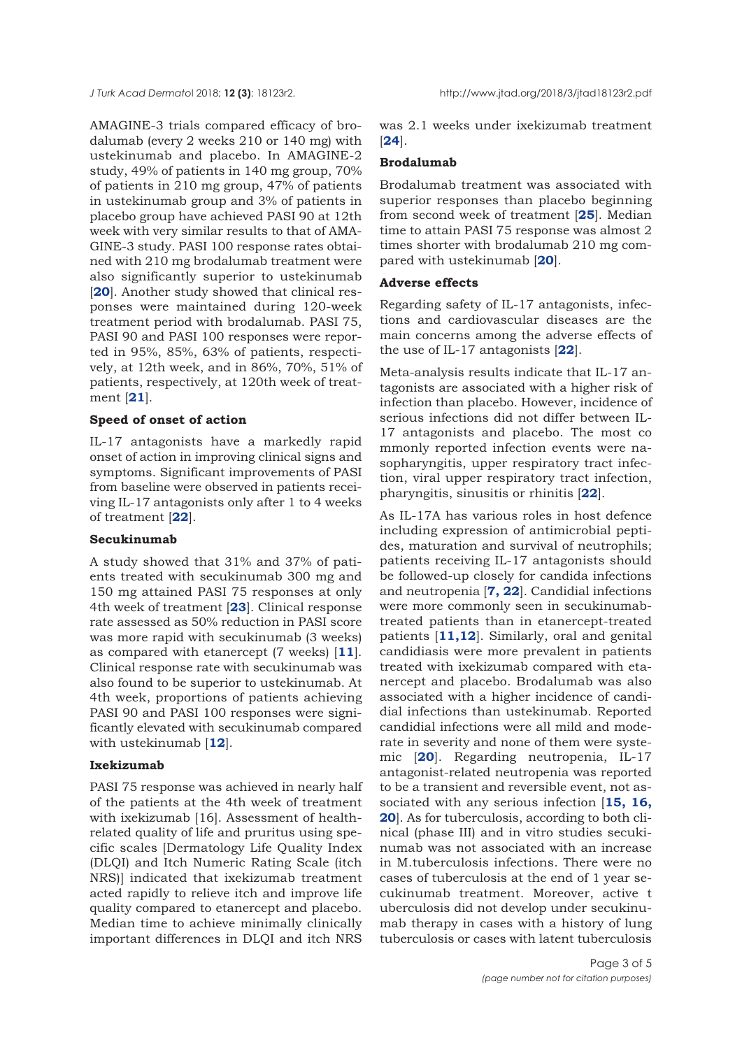*J Turk Acad Dermato*l 2018; **12 (3)**: 18123r2. http://www.jtad.org/2018/3/jtad18123r2.pdf

AMAGINE-3 trials compared efficacy of brodalumab (every 2 weeks 210 or 140 mg) with ustekinumab and placebo. In AMAGINE-2 study, 49% of patients in 140 mg group, 70% of patients in 210 mg group, 47% of patients in ustekinumab group and 3% of patients in placebo group have achieved PASI 90 at 12th week with very similar results to that of AMA-GINE-3 study. PASI 100 response rates obtained with 210 mg brodalumab treatment were also significantly superior to ustekinumab [[20](#page-4-0)]. Another study showed that clinical responses were maintained during 120-week treatment period with brodalumab. PASI 75, PASI 90 and PASI 100 responses were reported in 95%, 85%, 63% of patients, respectively, at 12th week, and in 86%, 70%, 51% of patients, respectively, at 120th week of treatment [**[21](#page-4-0)**].

#### **Speed of onset of action**

IL-17 antagonists have a markedly rapid onset of action in improving clinical signs and symptoms. Significant improvements of PASI from baseline were observed in patients receiving IL-17 antagonists only after 1 to 4 weeks of treatment [**[22](#page-4-0)**].

### **Secukinumab**

A study showed that 31% and 37% of patients treated with secukinumab 300 mg and 150 mg attained PASI 75 responses at only 4th week of treatment [**[23](#page-4-0)**]. Clinical response rate assessed as 50% reduction in PASI score was more rapid with secukinumab (3 weeks) as compared with etanercept (7 weeks) [**[11](#page-3-0)**]. Clinical response rate with secukinumab was also found to be superior to ustekinumab. At 4th week, proportions of patients achieving PASI 90 and PASI 100 responses were significantly elevated with secukinumab compared with ustekinumab [**[12](#page-3-0)**].

#### **Ixekizumab**

PASI 75 response was achieved in nearly half of the patients at the 4th week of treatment with ixekizumab [16]. Assessment of healthrelated quality of life and pruritus using specific scales [Dermatology Life Quality Index (DLQI) and Itch Numeric Rating Scale (itch NRS)] indicated that ixekizumab treatment acted rapidly to relieve itch and improve life quality compared to etanercept and placebo. Median time to achieve minimally clinically important differences in DLQI and itch NRS

was 2.1 weeks under ixekizumab treatment [**[24](#page-4-0)**].

# **Brodalumab**

Brodalumab treatment was associated with superior responses than placebo beginning from second week of treatment [**[25](#page-4-0)**]. Median time to attain PASI 75 response was almost 2 times shorter with brodalumab 210 mg compared with ustekinumab [**[20](#page-4-0)**].

#### **Adverse effects**

Regarding safety of IL-17 antagonists, infections and cardiovascular diseases are the main concerns among the adverse effects of the use of IL-17 antagonists [**[22](#page-4-0)**].

Meta-analysis results indicate that IL-17 antagonists are associated with a higher risk of infection than placebo. However, incidence of serious infections did not differ between IL-17 antagonists and placebo. The most co mmonly reported infection events were nasopharyngitis, upper respiratory tract infection, viral upper respiratory tract infection, pharyngitis, sinusitis or rhinitis [**[22](#page-4-0)**].

As IL-17A has various roles in host defence including expression of antimicrobial peptides, maturation and survival of neutrophils; patients receiving IL-17 antagonists should be followed-up closely for candida infections and neutropenia [**[7,](#page-3-0) [22](#page-4-0)**]. Candidial infections were more commonly seen in secukinumabtreated patients than in etanercept-treated patients [**[11](#page-3-0),[12](#page-3-0)**]. Similarly, oral and genital candidiasis were more prevalent in patients treated with ixekizumab compared with etanercept and placebo. Brodalumab was also associated with a higher incidence of candidial infections than ustekinumab. Reported candidial infections were all mild and moderate in severity and none of them were systemic [**[20](#page-4-0)**]. Regarding neutropenia, IL-17 antagonist-related neutropenia was reported to be a transient and reversible event, not associated with any serious infection [**[15, 16,](#page-3-0) [20](#page-4-0)**]. As for tuberculosis, according to both clinical (phase III) and in vitro studies secukinumab was not associated with an increase in M.tuberculosis infections. There were no cases of tuberculosis at the end of 1 year secukinumab treatment. Moreover, active t uberculosis did not develop under secukinumab therapy in cases with a history of lung tuberculosis or cases with latent tuberculosis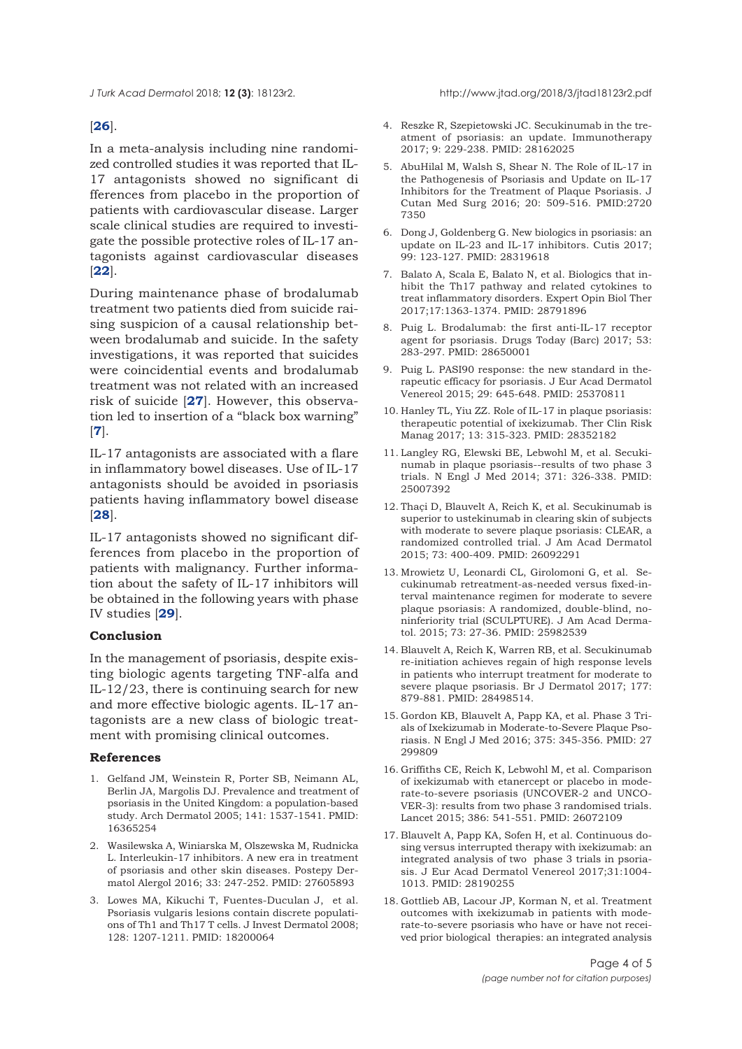<span id="page-3-0"></span>

#### [**[26](#page-4-0)**].

In a meta-analysis including nine randomized controlled studies it was reported that IL-17 antagonists showed no significant di fferences from placebo in the proportion of patients with cardiovascular disease. Larger scale clinical studies are required to investigate the possible protective roles of IL-17 antagonists against cardiovascular diseases [**[22](#page-4-0)**].

During maintenance phase of brodalumab treatment two patients died from suicide raising suspicion of a causal relationship between brodalumab and suicide. In the safety investigations, it was reported that suicides were coincidential events and brodalumab treatment was not related with an increased risk of suicide [**[27](#page-4-0)**]. However, this observation led to insertion of a "black box warning" [**7**].

IL-17 antagonists are associated with a flare in inflammatory bowel diseases. Use of IL-17 antagonists should be avoided in psoriasis patients having inflammatory bowel disease [**[28](#page-4-0)**].

IL-17 antagonists showed no significant differences from placebo in the proportion of patients with malignancy. Further information about the safety of IL-17 inhibitors will be obtained in the following years with phase IV studies [**[29](#page-4-0)**].

## **Conclusion**

In the management of psoriasis, despite existing biologic agents targeting TNF-alfa and IL-12/23, there is continuing search for new and more effective biologic agents. IL-17 antagonists are a new class of biologic treatment with promising clinical outcomes.

#### **References**

- 1. Gelfand JM, Weinstein R, Porter SB, Neimann AL, Berlin JA, Margolis DJ. Prevalence and treatment of psoriasis in the United Kingdom: a population-based study. Arch Dermatol 2005; 141: 1537-1541. PMID: 16365254
- 2. Wasilewska A, Winiarska M, Olszewska M, Rudnicka L. Interleukin-17 inhibitors. A new era in treatment of psoriasis and other skin diseases. Postepy Dermatol Alergol 2016; 33: 247-252. PMID: 27605893
- 3. Lowes MA, Kikuchi T, Fuentes-Duculan J, et al. Psoriasis vulgaris lesions contain discrete populations of Th1 and Th17 T cells. J Invest Dermatol 2008; 128: 1207-1211. PMID: 18200064
- 4. Reszke R, Szepietowski JC. Secukinumab in the treatment of psoriasis: an update. Immunotherapy 2017; 9: 229-238. PMID: 28162025
- 5. AbuHilal M, Walsh S, Shear N. The Role of IL-17 in the Pathogenesis of Psoriasis and Update on IL-17 Inhibitors for the Treatment of Plaque Psoriasis. J Cutan Med Surg 2016; 20: 509-516. PMID:2720 7350
- 6. Dong J, Goldenberg G. New biologics in psoriasis: an update on IL-23 and IL-17 inhibitors. Cutis 2017; 99: 123-127. PMID: 28319618
- 7. Balato A, Scala E, Balato N, et al. Biologics that inhibit the Th17 pathway and related cytokines to treat inflammatory disorders. Expert Opin Biol Ther 2017;17:1363-1374. PMID: 28791896
- 8. Puig L. Brodalumab: the first anti-IL-17 receptor agent for psoriasis. Drugs Today (Barc) 2017; 53: 283-297. PMID: 28650001
- 9. Puig L. PASI90 response: the new standard in therapeutic efficacy for psoriasis. J Eur Acad Dermatol Venereol 2015; 29: 645-648. PMID: 25370811
- 10. Hanley TL, Yiu ZZ. Role of IL-17 in plaque psoriasis: therapeutic potential of ixekizumab. Ther Clin Risk Manag 2017; 13: 315-323. PMID: 28352182
- 11. Langley RG, Elewski BE, Lebwohl M, et al. Secukinumab in plaque psoriasis--results of two phase 3 trials. N Engl J Med 2014; 371: 326-338. PMID: 25007392
- 12. Thaçi D, Blauvelt A, Reich K, et al. Secukinumab is superior to ustekinumab in clearing skin of subjects with moderate to severe plaque psoriasis: CLEAR, a randomized controlled trial. J Am Acad Dermatol 2015; 73: 400-409. PMID: 26092291
- 13. Mrowietz U, Leonardi CL, Girolomoni G, et al. Secukinumab retreatment-as-needed versus fixed-interval maintenance regimen for moderate to severe plaque psoriasis: A randomized, double-blind, noninferiority trial (SCULPTURE). J Am Acad Dermatol. 2015; 73: 27-36. PMID: 25982539
- 14. Blauvelt A, Reich K, Warren RB, et al. Secukinumab re-initiation achieves regain of high response levels in patients who interrupt treatment for moderate to severe plaque psoriasis. Br J Dermatol 2017; 177: 879-881. PMID: 28498514.
- 15. Gordon KB, Blauvelt A, Papp KA, et al. Phase 3 Trials of Ixekizumab in Moderate-to-Severe Plaque Psoriasis. N Engl J Med 2016; 375: 345-356. PMID: 27 299809
- 16. Griffiths CE, Reich K, Lebwohl M, et al. Comparison of ixekizumab with etanercept or placebo in moderate-to-severe psoriasis (UNCOVER-2 and UNCO-VER-3): results from two phase 3 randomised trials. Lancet 2015; 386: 541-551. PMID: 26072109
- 17. Blauvelt A, Papp KA, Sofen H, et al. Continuous dosing versus interrupted therapy with ixekizumab: an integrated analysis of two phase 3 trials in psoriasis. J Eur Acad Dermatol Venereol 2017;31:1004- 1013. PMID: 28190255
- 18. Gottlieb AB, Lacour JP, Korman N, et al. Treatment outcomes with ixekizumab in patients with moderate-to-severe psoriasis who have or have not received prior biological therapies: an integrated analysis